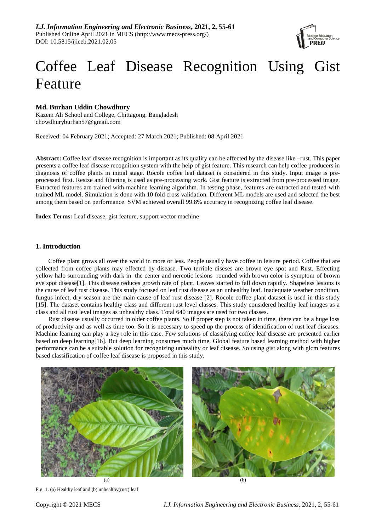

# Coffee Leaf Disease Recognition Using Gist Feature

# **Md. Burhan Uddin Chowdhury**

Kazem Ali School and College, Chittagong, Bangladesh chowdhuryburhan57@gmail.com

Received: 04 February 2021; Accepted: 27 March 2021; Published: 08 April 2021

**Abstract:** Coffee leaf disease recognition is important as its quality can be affected by the disease like –rust. This paper presents a coffee leaf disease recognition system with the help of gist feature. This research can help coffee producers in diagnosis of coffee plants in initial stage. Rocole coffee leaf dataset is considered in this study. Input image is preprocessed first. Resize and filtering is used as pre-processing work. Gist feature is extracted from pre-processed image. Extracted features are trained with machine learning algorithm. In testing phase, features are extracted and tested with trained ML model. Simulation is done with 10 fold cross validation. Different ML models are used and selected the best among them based on performance. SVM achieved overall 99.8% accuracy in recognizing coffee leaf disease.

**Index Terms:** Leaf disease, gist feature, support vector machine

## **1. Introduction**

Coffee plant grows all over the world in more or less. People usually have coffee in leisure period. Coffee that are collected from coffee plants may effected by disease. Two terrible diseses are brown eye spot and Rust. Effecting yellow halo surrounding with dark in the center and nercotic lesions rounded with brown color is symptom of brown eye spot disease[1]. This disease reduces growth rate of plant. Leaves started to fall down rapidly. Shapeless lesions is the cause of leaf rust disease. This study focused on leaf rust disease as an unhealthy leaf. Inadequate weather condition, fungus infect, dry season are the main cause of leaf rust disease [2]. Rocole coffee plant dataset is used in this study [15]. The dataset contains healthy class and different rust level classes. This study considered healthy leaf images as a class and all rust level images as unhealthy class. Total 640 images are used for two classes.

Rust disease usually occurred in older coffee plants. So if proper step is not taken in time, there can be a huge loss of productivity and as well as time too. So it is necessary to speed up the process of identification of rust leaf diseases. Machine learning can play a key role in this case. Few solutions of classifying coffee leaf disease are presented earlier based on deep learning[16]. But deep learning consumes much time. Global feature based learning method with higher performance can be a suitable solution for recognizing unhealthy or leaf disease. So using gist along with glcm features based classification of coffee leaf disease is proposed in this study.



Fig. 1. (a) Healthy leaf and (b) unhealthy(rust) leaf

 $(a)$  (b)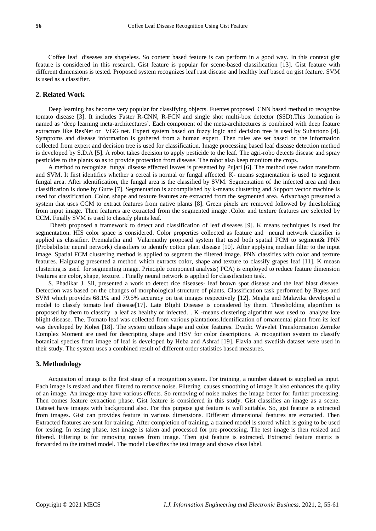Coffee leaf diseases are shapeless. So content based feature is can perform in a good way. In this context gist feature is considered in this research. Gist feature is popular for scene-based classification [13]. Gist feature with different dimensions is tested. Proposed system recognizes leaf rust disease and healthy leaf based on gist feature. SVM is used as a classifier.

## **2. Related Work**

Deep learning has become very popular for classifying objects. Fuentes proposed CNN based method to recognize tomato disease [3]. It includes Faster R-CNN, R-FCN and single shot multi-box detector (SSD).This formation is named as "deep learning meta-architectures". Each component of the meta-architectures is combined with deep feature extractors like ResNet or VGG net. Expert system based on fuzzy logic and decision tree is used by Suhartono [4]. Symptoms and disease information is gathered from a human expert. Then rules are set based on the information collected from expert and decision tree is used for classification. Image processing based leaf disease detection method is developed by S.D.A [5]. A robot takes decision to apply pesticide to the leaf. The agri-robo detects disease and spray pesticides to the plants so as to provide protection from disease. The robot also keep monitors the crops.

A method to recognize fungal disease effected leaves is presented by Pujari [6]. The method uses radon transform and SVM. It first identifies whether a cereal is normal or fungal affected. K- means segmentation is used to segment fungal area. After identification, the fungal area is the classified by SVM. Segmentation of the infected area and then classification is done by Gutte [7]. Segmentation is accomplished by k-means clustering and Support vector machine is used for classification. Color, shape and texture features are extracted from the segmented area. Arivazhago presented a system that uses CCM to extract features from native plants [8]. Green pixels are removed followed by thresholding from input image. Then features are extracted from the segmented image .Color and texture features are selected by CCM. Finally SVM is used to classify plants leaf.

Dheeb proposed a framework to detect and classification of leaf diseases [9]. K means techniques is used for segmentation. HIS color space is considered. Color properties collected as feature and neural network classifier is applied as classifier. Premalatha and Valarmathy proposed system that used both spatial FCM to segment& PNN (Probabilistic neural network) classifiers to identify cotton plant disease [10]. After applying median filter to the input image. Spatial FCM clustering method is applied to segment the filtered image. PNN classifies with color and texture features. Haiguang presented a method which extracts color, shape and texture to classify grapes leaf [11]. K measn clustering is used for segmenting image. Principle component analysis( PCA) is employed to reduce feature dimension Features are color, shape, texture. . Finally neural network is applied for classification task.

S. Phadikar J. Sil, presented a work to detect rice diseases- leaf brown spot disease and the leaf blast disease. Detection was based on the changes of morphological structure of plants. Classification task performed by Bayes and SVM which provides 68.1% and 79.5% accuracy on test images respectively [12]. Megha and Malavika developed a model to classfy tomato leaf disease[17]. Late Blight Disease is considered by them. Thresholding algorithm is proposed by them to classify a leaf as healthy or infected. . K -means clustering algorithm was used to analyze late blight disease. The. Tomato leaf was collected from various plantations.Identification of ornamental plant from its leaf was developed by Kohei [18]. The system utilizes shape and color features. Dyadic Wavelet Transformation Zernike Complex Moment are used for descripting shape and HSV for color descriptions. A recognition system to classify botanical species from image of leaf is developed by Heba and Ashraf [19]. Flavia and swedish dataset were used in their study. The system uses a combined result of different order statistics based measures.

#### **3. Methodology**

Acquisiton of image is the first stage of a recognition system. For training, a number dataset is supplied as input. Each image is resized and then filtered to remove noise. Filtering causes smoothing of image.It also enhances the qulity of an image. An image may have various effects. So removing of noise makes the image better for further processing. Then comes feature extraction phase. Gist feature is considered in this study. Gist classifies an image as a scene. Dataset have images with background also. For this purpose gist feature is well suitable. So, gist feature is extracted from images. Gist can provides feature in various dimensions. Different dimensional features are extracted. Then Extracted features are sent for training. After completion of training, a trained model is stored which is going to be used for testing. In testing phase, test image is taken and processed for pre-processing. The test image is then resized and filtered. Filtering is for removing noises from image. Then gist feature is extracted. Extracted feature matrix is forwarded to the trained model. The model classifies the test image and shows class label.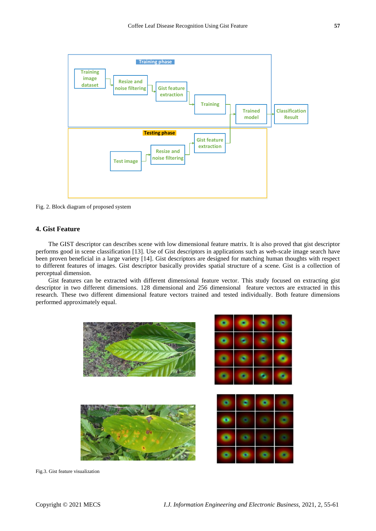

Fig. 2. Block diagram of proposed system

# **4. Gist Feature**

The GIST descriptor can describes scene with low dimensional feature matrix. It is also proved that gist descriptor performs good in scene classification [13]. Use of Gist descriptors in applications such as web-scale image search have been proven beneficial in a large variety [14]. Gist descriptors are designed for matching human thoughts with respect to different features of images. Gist descriptor basically provides spatial structure of a scene. Gist is a collection of perceptual dimension.

Gist features can be extracted with different dimensional feature vector. This study focused on extracting gist descriptor in two different dimensions. 128 dimensional and 256 dimensional feature vectors are extracted in this research. These two different dimensional feature vectors trained and tested individually. Both feature dimensions performed approximately equal.



Fig.3. Gist feature visualization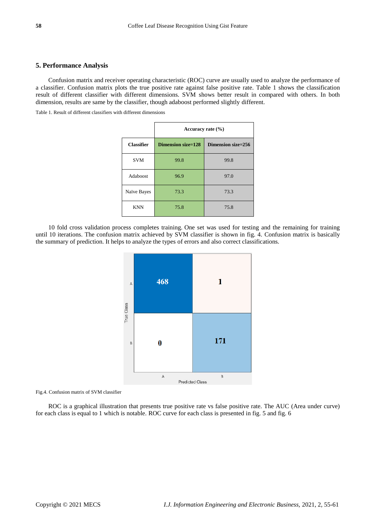## **5. Performance Analysis**

Confusion matrix and receiver operating characteristic (ROC) curve are usually used to analyze the performance of a classifier. Confusion matrix plots the true positive rate against false positive rate. Table 1 shows the classification result of different classifier with different dimensions. SVM shows better result in compared with others. In both dimension, results are same by the classifier, though adaboost performed slightly different.

Table 1. Result of different classifiers with different dimensions

|                   | Accuracy rate $(\% )$     |                    |  |
|-------------------|---------------------------|--------------------|--|
| <b>Classifier</b> | <b>Dimension size=128</b> | Dimension size=256 |  |
| <b>SVM</b>        | 99.8                      | 99.8               |  |
| Adaboost          | 96.9                      | 97.0               |  |
| Na ive Bayes      | 73.3                      | 73.3               |  |
| <b>KNN</b>        | 75.8                      | 75.8               |  |

10 fold cross validation process completes training. One set was used for testing and the remaining for training until 10 iterations. The confusion matrix achieved by SVM classifier is shown in fig. 4. Confusion matrix is basically the summary of prediction. It helps to analyze the types of errors and also correct classifications.



Fig.4. Confusion matrix of SVM classifier

ROC is a graphical illustration that presents true positive rate vs false positive rate. The AUC (Area under curve) for each class is equal to 1 which is notable. ROC curve for each class is presented in fig. 5 and fig. 6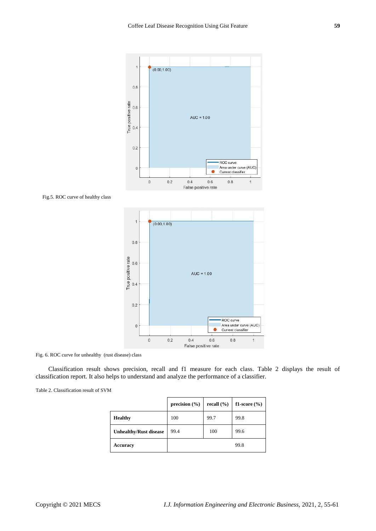

AUC =  $1.00$ 

ROC curve Area under curve (AUC)

Current classifier

 $0.8$ 

 $\overline{\mathbf{1}}$ 

Fig.5. ROC curve of healthy class



 $0.2$ 

 $\mathbf{0}$ 

 $\circ$ 

 $0.2$ 

Classification result shows precision, recall and f1 measure for each class. Table 2 displays the result of classification report. It also helps to understand and analyze the performance of a classifier.

 $0.4$ 

 $0.6$ 

False positive rate

|  |  | Table 2. Classification result of SVM |
|--|--|---------------------------------------|
|--|--|---------------------------------------|

|                               | precision $(\% )$ | recall $(\% )$ | f1-score $(\% )$ |
|-------------------------------|-------------------|----------------|------------------|
| <b>Healthy</b>                | 100               | 99.7           | 99.8             |
| <b>Unhealthy/Rust disease</b> | 99.4              | 100            | 99.6             |
| Accuracy                      |                   |                | 99.8             |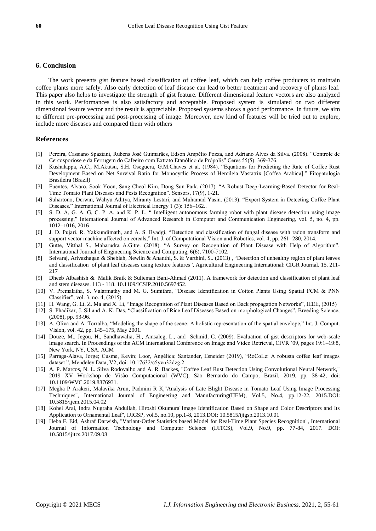## **6. Conclusion**

The work presents gist feature based classification of coffee leaf, which can help coffee producers to maintain coffee plants more safely. Also early detection of leaf disease can lead to better treatment and recovery of plants leaf. This paper also helps to investigate the strength of gist feature. Different dimensional feature vectors are also analyzed in this work. Performances is also satisfactory and acceptable. Proposed system is simulated on two different dimensional feature vector and the result is appreciable. Proposed systems shows a good performance. In future, we aim to different pre-processing and post-processing of image. Moreover, new kind of features will be tried out to explore, include more diseases and compared them with others

### **References**

- [1] Pereira, Cassiano Spaziani, Rubens José Guimarães, Edson Ampélio Pozza, and Adriano Alves da Silva. (2008). "Controle de Cercosporiose e da Ferrugem do Cafeeiro com Extrato Etanólico de Própolis" Ceres 55(5): 369-376.
- [2] Kushalappa, A.C., M.Akutsu, S.H. Oseguera, G.M.Chaves et al. (1984). "Equations for Predicting the Rate of Coffee Rust Development Based on Net Survival Ratio for Monocyclic Process of Hemileia Vastatrix [Coffea Arabica]." Fitopatologia Brasileira (Brazil)
- [3] Fuentes, Alvaro, Sook Yoon, Sang Cheol Kim, Dong Sun Park. (2017). "A Robust Deep-Learning-Based Detector for Real-Time Tomato Plant Diseases and Pests Recognition". Sensors, 17(9), 1-21.
- [4] Suhartono, Derwin, Wahyu Aditya, Miranty Lestari, and Muhamad Yasin. (2013). "Expert System in Detecting Coffee Plant Diseases." International Journal of Electrical Energy 1 (3): 156–162..
- [5] S. D. A, G. A. G, C. P. A, and K. P. L, " Intelligent autonomous farming robot with plant disease detection using image processing," International Journal of Advanced Research in Computer and Communication Engineering, vol. 5, no. 4, pp. 1012–1016, 2016
- [6] J. D. Pujari, R. Yakkundimath, and A. S. Byadgi, "Detection and classification of fungal disease with radon transform and support vector machine affected on cereals," Int. J. of Computational Vision and Robotics, vol. 4, pp. 261–280, 2014.
- [7] Gutte, Vitthal S., Maharudra A.Gitte. (2018). "A Survey on Recognition of Plant Disease with Help of Algorithm". International Journal of Engineering Science and Computing, 6(6), 7100-7102.
- [8] Selvaraj, Arivazhagan & Shebiah, Newlin & Ananthi, S. & Varthini, S.. (2013) , "Detection of unhealthy region of plant leaves and classification of plant leaf diseases using texture features", Agricultural Engineering International: CIGR Journal. 15. 211- 217
- [9] Dheeb Albashish & Malik Braik & Sulieman Bani-Ahmad (2011). A framework for detection and classification of plant leaf and stem diseases. 113 - 118. 10.1109/ICSIP.2010.5697452.
- [10] V. Premalatha, S. Valarmathy and M. G. Sumithra, "Disease Identification in Cotton Plants Using Spatial FCM & PNN Classifier", vol. 3, no. 4, (2015).
- [11] H. Wang, G. Li, Z. Ma and X. Li, "Image Recognition of Plant Diseases Based on Back propagation Networks", IEEE, (2015)
- [12] S. Phadikar, J. Sil and A. K. Das, "Classification of Rice Leaf Diseases Based on morphological Changes", Breeding Science, (2008), pp. 93-96.
- [13] A. Oliva and A. Torralba, "Modeling the shape of the scene: A holistic representation of the spatial envelope," Int. J. Comput. Vision, vol. 42, pp. 145–175, May 2001.
- [14] Douze, M., Jegou, H., Sandhawalia, H., Amsaleg, L., and Schmid, C. (2009). Evaluation of gist descriptors for web-scale image search. In Proceedings of the ACM International Conference on Image and Video Retrieval, CIVR "09, pages 19:1–19:8, New York, NY, USA. ACM
- [15] Parraga-Alava, Jorge; Cusme, Kevin; Loor, Angélica; Santander, Esneider (2019), "RoCoLe: A robusta coffee leaf images dataset ", Mendeley Data, V2, doi: 10.17632/c5yvn32dzg.2
- [16] A. P. Marcos, N. L. Silva Rodovalho and A. R. Backes, "Coffee Leaf Rust Detection Using Convolutional Neural Network," 2019 XV Workshop de Visão Computacional (WVC), São Bernardo do Campo, Brazil, 2019, pp. 38-42, doi: 10.1109/WVC.2019.8876931.
- [17] Megha P Arakeri, Malavika Arun, Padmini R K,"Analysis of Late Blight Disease in Tomato Leaf Using Image Processing Techniques", International Journal of Engineering and Manufacturing(IJEM), Vol.5, No.4, pp.12-22, 2015.DOI: 10.5815/ijem.2015.04.02
- [18] Kohei Arai, Indra Nugraha Abdullah, Hiroshi Okumura"Image Identification Based on Shape and Color Descriptors and Its Application to Ornamental Leaf", IJIGSP, vol.5, no.10, pp.1-8, 2013.DOI: 10.5815/ijigsp.2013.10.01
- [19] Heba F. Eid, Ashraf Darwish, "Variant-Order Statistics based Model for Real-Time Plant Species Recognition", International Journal of Information Technology and Computer Science (IJITCS), Vol.9, No.9, pp. 77-84, 2017. DOI: 10.5815/ijitcs.2017.09.08